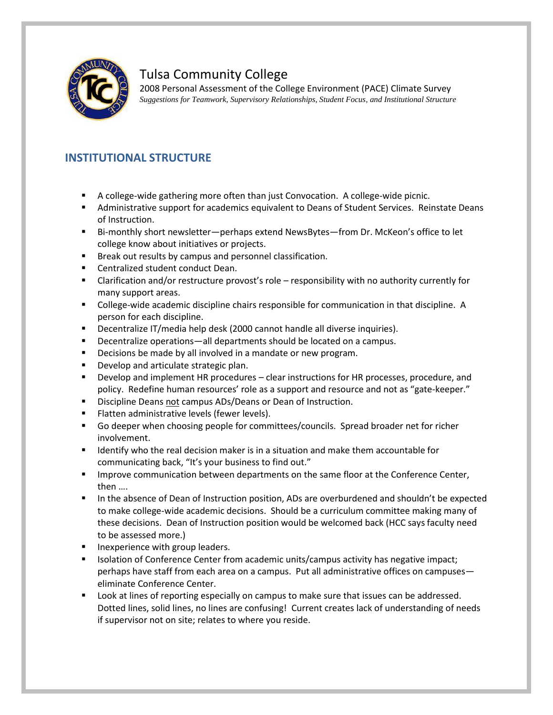

# Tulsa Community College

2008 Personal Assessment of the College Environment (PACE) Climate Survey *Suggestions for Teamwork, Supervisory Relationships, Student Focus, and Institutional Structure*

## **INSTITUTIONAL STRUCTURE**

- A college-wide gathering more often than just Convocation. A college-wide picnic.
- Administrative support for academics equivalent to Deans of Student Services. Reinstate Deans of Instruction.
- Bi-monthly short newsletter—perhaps extend NewsBytes—from Dr. McKeon's office to let college know about initiatives or projects.
- **Break out results by campus and personnel classification.**
- **EXEC** Centralized student conduct Dean.
- Clarification and/or restructure provost's role responsibility with no authority currently for many support areas.
- College-wide academic discipline chairs responsible for communication in that discipline. A person for each discipline.
- Decentralize IT/media help desk (2000 cannot handle all diverse inquiries).
- Decentralize operations—all departments should be located on a campus.
- Decisions be made by all involved in a mandate or new program.
- Develop and articulate strategic plan.
- Develop and implement HR procedures clear instructions for HR processes, procedure, and policy. Redefine human resources' role as a support and resource and not as "gate-keeper."
- Discipline Deans not campus ADs/Deans or Dean of Instruction.
- Flatten administrative levels (fewer levels).
- Go deeper when choosing people for committees/councils. Spread broader net for richer involvement.
- **If all identify who the real decision maker is in a situation and make them accountable for** communicating back, "It's your business to find out."
- **IMPROVE COMMUNICATION between departments on the same floor at the Conference Center,** then ….
- In the absence of Dean of Instruction position, ADs are overburdened and shouldn't be expected to make college-wide academic decisions. Should be a curriculum committee making many of these decisions. Dean of Instruction position would be welcomed back (HCC says faculty need to be assessed more.)
- **Inexperience with group leaders.**
- Isolation of Conference Center from academic units/campus activity has negative impact; perhaps have staff from each area on a campus. Put all administrative offices on campuses eliminate Conference Center.
- Look at lines of reporting especially on campus to make sure that issues can be addressed. Dotted lines, solid lines, no lines are confusing! Current creates lack of understanding of needs if supervisor not on site; relates to where you reside.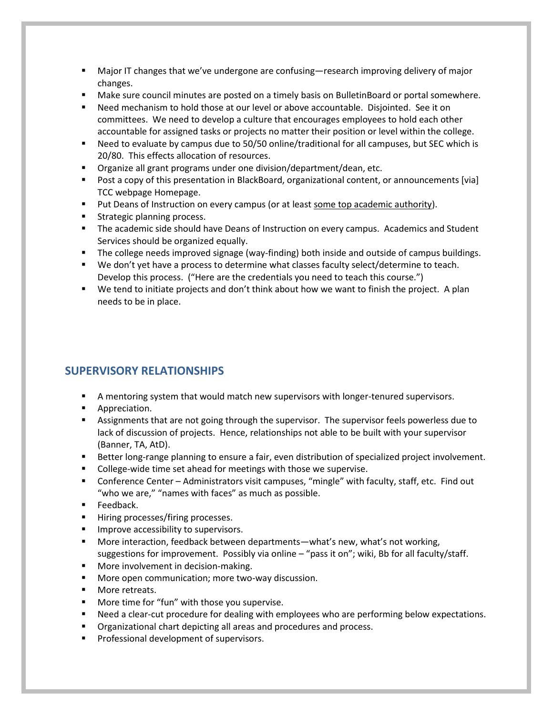- Major IT changes that we've undergone are confusing—research improving delivery of major changes.
- **Make sure council minutes are posted on a timely basis on BulletinBoard or portal somewhere.**
- Need mechanism to hold those at our level or above accountable. Disjointed. See it on committees. We need to develop a culture that encourages employees to hold each other accountable for assigned tasks or projects no matter their position or level within the college.
- Need to evaluate by campus due to 50/50 online/traditional for all campuses, but SEC which is 20/80. This effects allocation of resources.
- Organize all grant programs under one division/department/dean, etc.
- Post a copy of this presentation in BlackBoard, organizational content, or announcements [via] TCC webpage Homepage.
- **Put Deans of Instruction on every campus (or at least some top academic authority).**
- **Strategic planning process.**
- **The academic side should have Deans of Instruction on every campus. Academics and Student** Services should be organized equally.
- The college needs improved signage (way-finding) both inside and outside of campus buildings.
- We don't yet have a process to determine what classes faculty select/determine to teach. Develop this process. ("Here are the credentials you need to teach this course.")
- We tend to initiate projects and don't think about how we want to finish the project. A plan needs to be in place.

#### **SUPERVISORY RELATIONSHIPS**

- A mentoring system that would match new supervisors with longer-tenured supervisors.
- **Appreciation.**
- **EXECT** Assignments that are not going through the supervisor. The supervisor feels powerless due to lack of discussion of projects. Hence, relationships not able to be built with your supervisor (Banner, TA, AtD).
- **Better long-range planning to ensure a fair, even distribution of specialized project involvement.**
- College-wide time set ahead for meetings with those we supervise.
- Conference Center Administrators visit campuses, "mingle" with faculty, staff, etc. Find out "who we are," "names with faces" as much as possible.
- **Feedback.**
- Hiring processes/firing processes.
- **IMPROVE ACCESSIBILITY TO SUPERVISOTS.**
- More interaction, feedback between departments—what's new, what's not working, suggestions for improvement. Possibly via online – "pass it on"; wiki, Bb for all faculty/staff.
- **More involvement in decision-making.**
- **More open communication; more two-way discussion.**
- **More retreats.**
- **More time for "fun" with those you supervise.**
- Need a clear-cut procedure for dealing with employees who are performing below expectations.
- **Organizational chart depicting all areas and procedures and process.**
- **Professional development of supervisors.**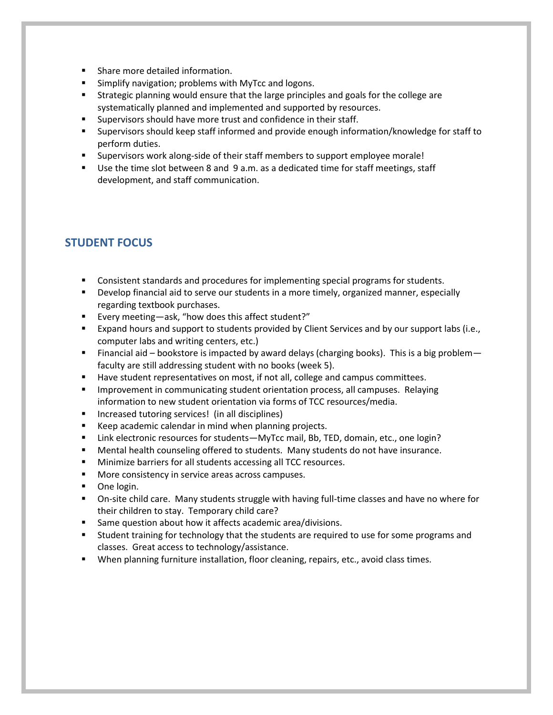- **Share more detailed information.**
- **Simplify navigation; problems with MyTcc and logons.**
- Strategic planning would ensure that the large principles and goals for the college are systematically planned and implemented and supported by resources.
- **Supervisors should have more trust and confidence in their staff.**
- Supervisors should keep staff informed and provide enough information/knowledge for staff to perform duties.
- **Supervisors work along-side of their staff members to support employee morale!**
- Use the time slot between 8 and 9 a.m. as a dedicated time for staff meetings, staff development, and staff communication.

### **STUDENT FOCUS**

- **Consistent standards and procedures for implementing special programs for students.**
- **Develop financial aid to serve our students in a more timely, organized manner, especially** regarding textbook purchases.
- Every meeting—ask, "how does this affect student?"
- **Expand hours and support to students provided by Client Services and by our support labs (i.e.,** computer labs and writing centers, etc.)
- Financial aid bookstore is impacted by award delays (charging books). This is a big problem faculty are still addressing student with no books (week 5).
- **Have student representatives on most, if not all, college and campus committees.**
- **IMPROVEMENT IN COMMUNICATING STUDENT OR STATE IN CONSTRANCE IN A STATE IN STATE IN STATE IN STATE IN STATE IN STATE IN STATE IN STATE IN STATE IN STATE IN STATE IN STATE IN STATE IN STATE IN STATE IN STATE IN STATE IN STA** information to new student orientation via forms of TCC resources/media.
- Increased tutoring services! (in all disciplines)
- E Keep academic calendar in mind when planning projects.
- **EXECT LINK electronic resources for students—MyTcc mail, Bb, TED, domain, etc., one login?**
- Mental health counseling offered to students. Many students do not have insurance.
- **Minimize barriers for all students accessing all TCC resources.**
- **More consistency in service areas across campuses.**
- One login.
- On-site child care. Many students struggle with having full-time classes and have no where for their children to stay. Temporary child care?
- Same question about how it affects academic area/divisions.
- **Student training for technology that the students are required to use for some programs and** classes. Great access to technology/assistance.
- When planning furniture installation, floor cleaning, repairs, etc., avoid class times.